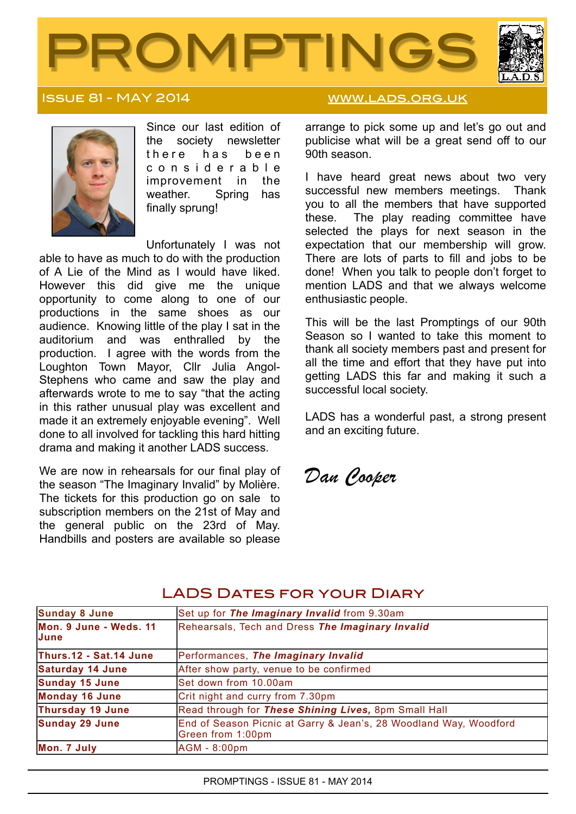



### ISSUE 81 - MAY 2014 WWW.LADS.ORG.UK



Since our last edition of the society newsletter there has been c o n s i d e r a b l e improvement in the weather. Spring has finally sprung!

Unfortunately I was not able to have as much to do with the production of A Lie of the Mind as I would have liked. However this did give me the unique opportunity to come along to one of our productions in the same shoes as our audience. Knowing little of the play I sat in the auditorium and was enthralled by the production. I agree with the words from the Loughton Town Mayor, Cllr Julia Angol-Stephens who came and saw the play and afterwards wrote to me to say "that the acting in this rather unusual play was excellent and made it an extremely enjoyable evening". Well done to all involved for tackling this hard hitting drama and making it another LADS success.

We are now in rehearsals for our final play of the season "The Imaginary Invalid" by Molière. The tickets for this production go on sale to subscription members on the 21st of May and the general public on the 23rd of May. Handbills and posters are available so please

arrange to pick some up and let's go out and publicise what will be a great send off to our 90th season.

I have heard great news about two very successful new members meetings. Thank you to all the members that have supported these. The play reading committee have selected the plays for next season in the expectation that our membership will grow. There are lots of parts to fill and jobs to be done! When you talk to people don't forget to mention LADS and that we always welcome enthusiastic people.

This will be the last Promptings of our 90th Season so I wanted to take this moment to thank all society members past and present for all the time and effort that they have put into getting LADS this far and making it such a successful local society.

LADS has a wonderful past, a strong present and an exciting future.

*Dan Cooper*

| <b>Sunday 8 June</b>            | Set up for The Imaginary Invalid from 9.30am                                           |
|---------------------------------|----------------------------------------------------------------------------------------|
| Mon. 9 June - Weds. 11<br>IJune | Rehearsals, Tech and Dress The Imaginary Invalid                                       |
| Thurs.12 - Sat.14 June          | Performances, The Imaginary Invalid                                                    |
| <b>Saturday 14 June</b>         | After show party, venue to be confirmed                                                |
| <b>Sunday 15 June</b>           | Set down from 10.00am                                                                  |
| <b>Monday 16 June</b>           | Crit night and curry from 7.30pm                                                       |
| Thursday 19 June                | Read through for These Shining Lives, 8pm Small Hall                                   |
| <b>Sunday 29 June</b>           | End of Season Picnic at Garry & Jean's, 28 Woodland Way, Woodford<br>Green from 1:00pm |
| Mon. 7 July                     | AGM - 8:00pm                                                                           |

# LADS DATES FOR YOUR DIARY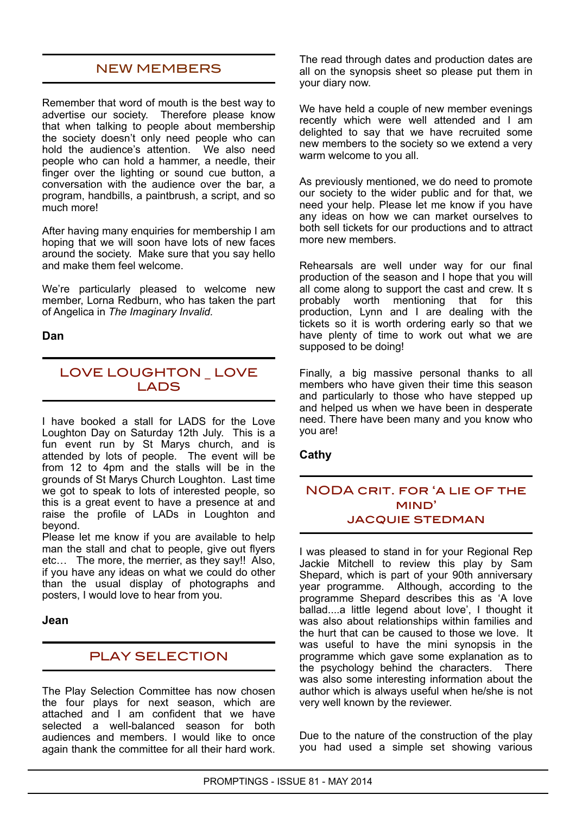# NEW MEMBERS

Remember that word of mouth is the best way to advertise our society. Therefore please know that when talking to people about membership the society doesn't only need people who can hold the audience's attention. We also need people who can hold a hammer, a needle, their finger over the lighting or sound cue button, a conversation with the audience over the bar, a program, handbills, a paintbrush, a script, and so much more!

After having many enquiries for membership I am hoping that we will soon have lots of new faces around the society. Make sure that you say hello and make them feel welcome.

We're particularly pleased to welcome new member, Lorna Redburn, who has taken the part of Angelica in *The Imaginary Invalid.*

#### **Dan**

# LOVE LOUGHTON \_ LOVE LADS

I have booked a stall for LADS for the Love Loughton Day on Saturday 12th July. This is a fun event run by St Marys church, and is attended by lots of people. The event will be from 12 to 4pm and the stalls will be in the grounds of St Marys Church Loughton. Last time we got to speak to lots of interested people, so this is a great event to have a presence at and raise the profile of LADs in Loughton and beyond.

Please let me know if you are available to help man the stall and chat to people, give out flyers etc… The more, the merrier, as they say!! Also, if you have any ideas on what we could do other than the usual display of photographs and posters, I would love to hear from you.

#### **Jean**

## PLAY SELECTION

The Play Selection Committee has now chosen the four plays for next season, which are attached and I am confident that we have selected a well-balanced season for both audiences and members. I would like to once again thank the committee for all their hard work.

The read through dates and production dates are all on the synopsis sheet so please put them in your diary now.

We have held a couple of new member evenings recently which were well attended and I am delighted to say that we have recruited some new members to the society so we extend a very warm welcome to you all.

As previously mentioned, we do need to promote our society to the wider public and for that, we need your help. Please let me know if you have any ideas on how we can market ourselves to both sell tickets for our productions and to attract more new members.

Rehearsals are well under way for our final production of the season and I hope that you will all come along to support the cast and crew. It s probably worth mentioning that for this production, Lynn and I are dealing with the tickets so it is worth ordering early so that we have plenty of time to work out what we are supposed to be doing!

Finally, a big massive personal thanks to all members who have given their time this season and particularly to those who have stepped up and helped us when we have been in desperate need. There have been many and you know who you are!

#### **Cathy**

### NODA crit. for 'a lie of the mind' **JACQUIE STEDMAN**

I was pleased to stand in for your Regional Rep Jackie Mitchell to review this play by Sam Shepard, which is part of your 90th anniversary year programme. Although, according to the programme Shepard describes this as 'A love ballad....a little legend about love', I thought it was also about relationships within families and the hurt that can be caused to those we love. It was useful to have the mini synopsis in the programme which gave some explanation as to the psychology behind the characters. There was also some interesting information about the author which is always useful when he/she is not very well known by the reviewer.

Due to the nature of the construction of the play you had used a simple set showing various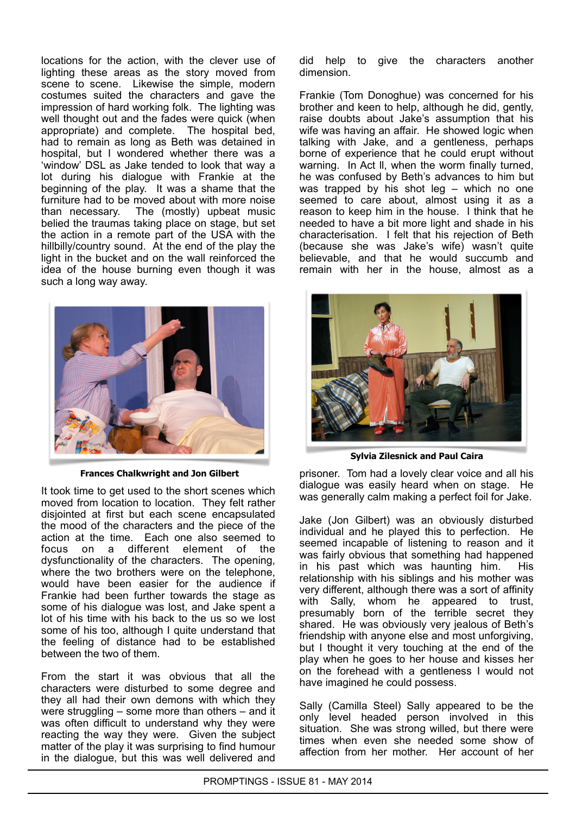locations for the action, with the clever use of lighting these areas as the story moved from scene to scene. Likewise the simple, modern costumes suited the characters and gave the impression of hard working folk. The lighting was well thought out and the fades were quick (when appropriate) and complete. The hospital bed, had to remain as long as Beth was detained in hospital, but I wondered whether there was a 'window' DSL as Jake tended to look that way a lot during his dialogue with Frankie at the beginning of the play. It was a shame that the furniture had to be moved about with more noise than necessary. The (mostly) upbeat music belied the traumas taking place on stage, but set the action in a remote part of the USA with the hillbilly/country sound. At the end of the play the light in the bucket and on the wall reinforced the idea of the house burning even though it was such a long way away.



**Frances Chalkwright and Jon Gilbert**

It took time to get used to the short scenes which moved from location to location. They felt rather disjointed at first but each scene encapsulated the mood of the characters and the piece of the action at the time. Each one also seemed to focus on a different element of the dysfunctionality of the characters. The opening, where the two brothers were on the telephone, would have been easier for the audience if Frankie had been further towards the stage as some of his dialogue was lost, and Jake spent a lot of his time with his back to the us so we lost some of his too, although I quite understand that the feeling of distance had to be established between the two of them.

From the start it was obvious that all the characters were disturbed to some degree and they all had their own demons with which they were struggling – some more than others – and it was often difficult to understand why they were reacting the way they were. Given the subject matter of the play it was surprising to find humour in the dialogue, but this was well delivered and

did help to give the characters another dimension.

Frankie (Tom Donoghue) was concerned for his brother and keen to help, although he did, gently, raise doubts about Jake's assumption that his wife was having an affair. He showed logic when talking with Jake, and a gentleness, perhaps borne of experience that he could erupt without warning. In Act ll, when the worm finally turned, he was confused by Beth's advances to him but was trapped by his shot leg  $-$  which no one seemed to care about, almost using it as a reason to keep him in the house. I think that he needed to have a bit more light and shade in his characterisation. I felt that his rejection of Beth (because she was Jake's wife) wasn't quite believable, and that he would succumb and remain with her in the house, almost as a



**Sylvia Zilesnick and Paul Caira**

prisoner. Tom had a lovely clear voice and all his dialogue was easily heard when on stage. He was generally calm making a perfect foil for Jake.

Jake (Jon Gilbert) was an obviously disturbed individual and he played this to perfection. He seemed incapable of listening to reason and it was fairly obvious that something had happened in his past which was haunting him. His relationship with his siblings and his mother was very different, although there was a sort of affinity with Sally, whom he appeared to trust, presumably born of the terrible secret they shared. He was obviously very jealous of Beth's friendship with anyone else and most unforgiving, but I thought it very touching at the end of the play when he goes to her house and kisses her on the forehead with a gentleness I would not have imagined he could possess.

Sally (Camilla Steel) Sally appeared to be the only level headed person involved in this situation. She was strong willed, but there were times when even she needed some show of affection from her mother. Her account of her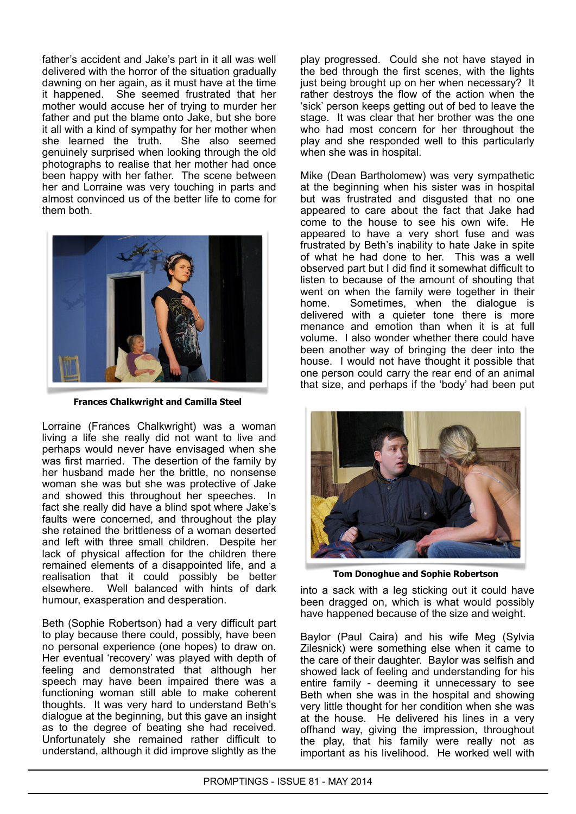father's accident and Jake's part in it all was well delivered with the horror of the situation gradually dawning on her again, as it must have at the time it happened. She seemed frustrated that her mother would accuse her of trying to murder her father and put the blame onto Jake, but she bore it all with a kind of sympathy for her mother when she learned the truth. She also seemed genuinely surprised when looking through the old photographs to realise that her mother had once been happy with her father. The scene between her and Lorraine was very touching in parts and almost convinced us of the better life to come for them both.



**Frances Chalkwright and Camilla Steel**

Lorraine (Frances Chalkwright) was a woman living a life she really did not want to live and perhaps would never have envisaged when she was first married. The desertion of the family by her husband made her the brittle, no nonsense woman she was but she was protective of Jake and showed this throughout her speeches. In fact she really did have a blind spot where Jake's faults were concerned, and throughout the play she retained the brittleness of a woman deserted and left with three small children. Despite her lack of physical affection for the children there remained elements of a disappointed life, and a realisation that it could possibly be better elsewhere. Well balanced with hints of dark humour, exasperation and desperation.

Beth (Sophie Robertson) had a very difficult part to play because there could, possibly, have been no personal experience (one hopes) to draw on. Her eventual 'recovery' was played with depth of feeling and demonstrated that although her speech may have been impaired there was a functioning woman still able to make coherent thoughts. It was very hard to understand Beth's dialogue at the beginning, but this gave an insight as to the degree of beating she had received. Unfortunately she remained rather difficult to understand, although it did improve slightly as the

play progressed. Could she not have stayed in the bed through the first scenes, with the lights just being brought up on her when necessary? It rather destroys the flow of the action when the 'sick' person keeps getting out of bed to leave the stage. It was clear that her brother was the one who had most concern for her throughout the play and she responded well to this particularly when she was in hospital.

Mike (Dean Bartholomew) was very sympathetic at the beginning when his sister was in hospital but was frustrated and disgusted that no one appeared to care about the fact that Jake had come to the house to see his own wife. He appeared to have a very short fuse and was frustrated by Beth's inability to hate Jake in spite of what he had done to her. This was a well observed part but I did find it somewhat difficult to listen to because of the amount of shouting that went on when the family were together in their home. Sometimes, when the dialogue is delivered with a quieter tone there is more menance and emotion than when it is at full volume. I also wonder whether there could have been another way of bringing the deer into the house. I would not have thought it possible that one person could carry the rear end of an animal that size, and perhaps if the 'body' had been put



**Tom Donoghue and Sophie Robertson**

into a sack with a leg sticking out it could have been dragged on, which is what would possibly have happened because of the size and weight.

Baylor (Paul Caira) and his wife Meg (Sylvia Zilesnick) were something else when it came to the care of their daughter. Baylor was selfish and showed lack of feeling and understanding for his entire family - deeming it unnecessary to see Beth when she was in the hospital and showing very little thought for her condition when she was at the house. He delivered his lines in a very offhand way, giving the impression, throughout the play, that his family were really not as important as his livelihood. He worked well with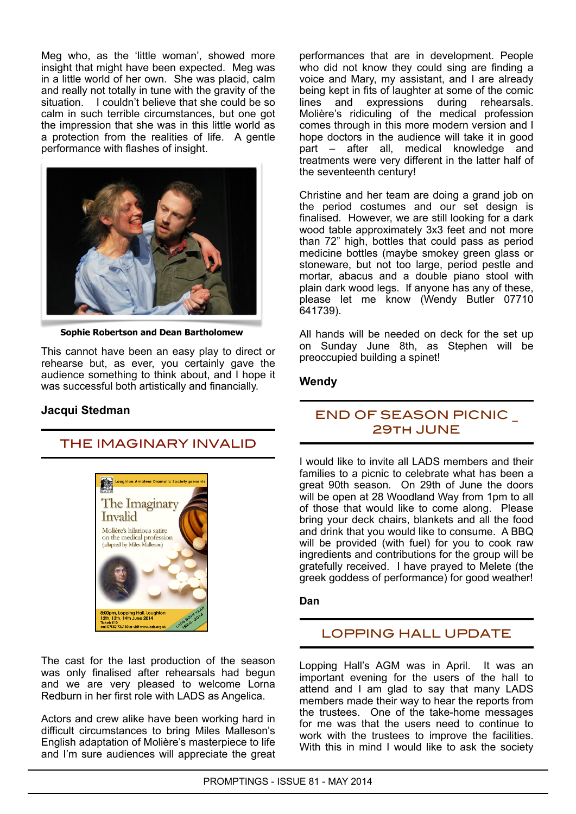Meg who, as the 'little woman', showed more insight that might have been expected. Meg was in a little world of her own. She was placid, calm and really not totally in tune with the gravity of the situation. I couldn't believe that she could be so calm in such terrible circumstances, but one got the impression that she was in this little world as a protection from the realities of life. A gentle performance with flashes of insight.



**Sophie Robertson and Dean Bartholomew**

This cannot have been an easy play to direct or rehearse but, as ever, you certainly gave the audience something to think about, and I hope it was successful both artistically and financially.

#### **Jacqui Stedman**

## THE IMAGINARY INVALID



The cast for the last production of the season was only finalised after rehearsals had begun and we are very pleased to welcome Lorna Redburn in her first role with LADS as Angelica.

Actors and crew alike have been working hard in difficult circumstances to bring Miles Malleson's English adaptation of Molière's masterpiece to life and I'm sure audiences will appreciate the great

performances that are in development. People who did not know they could sing are finding a voice and Mary, my assistant, and I are already being kept in fits of laughter at some of the comic lines and expressions during rehearsals. Molière's ridiculing of the medical profession comes through in this more modern version and I hope doctors in the audience will take it in good part – after all, medical knowledge and treatments were very different in the latter half of the seventeenth century!

Christine and her team are doing a grand job on the period costumes and our set design is finalised. However, we are still looking for a dark wood table approximately 3x3 feet and not more than 72" high, bottles that could pass as period medicine bottles (maybe smokey green glass or stoneware, but not too large, period pestle and mortar, abacus and a double piano stool with plain dark wood legs. If anyone has any of these, please let me know (Wendy Butler 07710 641739).

All hands will be needed on deck for the set up on Sunday June 8th, as Stephen will be preoccupied building a spinet!

### **Wendy**

### END OF SEASON PICNIC 29th JUNE

I would like to invite all LADS members and their families to a picnic to celebrate what has been a great 90th season. On 29th of June the doors will be open at 28 Woodland Way from 1pm to all of those that would like to come along. Please bring your deck chairs, blankets and all the food and drink that you would like to consume. A BBQ will be provided (with fuel) for you to cook raw ingredients and contributions for the group will be gratefully received. I have prayed to Melete (the greek goddess of performance) for good weather!

#### **Dan**

## LOPPING HALL UPDATE

Lopping Hall's AGM was in April. It was an important evening for the users of the hall to attend and I am glad to say that many LADS members made their way to hear the reports from the trustees. One of the take-home messages for me was that the users need to continue to work with the trustees to improve the facilities. With this in mind I would like to ask the society